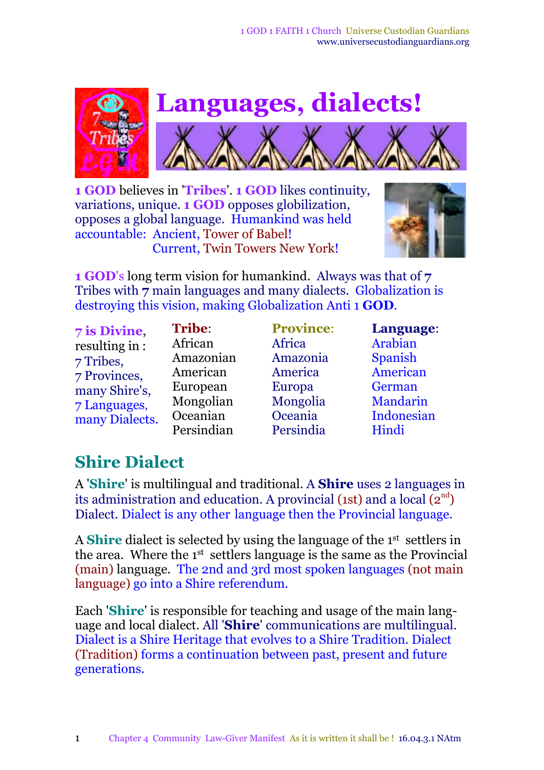

**1 GOD** believes in '**Tribes**'. **1 GOD** likes continuity, variations, unique. **1 GOD** opposes globilization, opposes a global language. Humankind was held accountable: Ancient, Tower of Babel! Current, Twin Towers New York!



**1 GOD**'s long term vision for humankind. Always was that of **7** Tribes with **7** main languages and many dialects. Globalization is destroying this vision, making Globalization Anti 1 **GOD***.*

**7 is Divine**, resulting in : 7 Tribes, 7 Provinces, many Shire's, 7 Languages, many Dialects. **Tribe**: African Amazonian American European Mongolian Oceanian Persindian

**Province**[:](file://C:/Users/Workventures/Documents/ApD17/UCGw/7Tribes//F:/My Web Sites/community/7provinces.htm) Africa Amazonia America Europa Mongolia Oceania Persindia

**Language**: Arabian Spanish American German Mandarin Indonesian Hindi

## **Shire Dialect**

A '**Shire**' is multilingual and traditional. A **Shire** uses 2 languages in its administration and education. A provincial (1st) and a local  $(2^{\text{nd}})$ Dialect. Dialect is any other language then the Provincial language.

A **Shire** dialect is selected by using the language of the 1<sup>st</sup> settlers in the area. Where the 1<sup>st</sup> settlers language is the same as the Provincial (main) language. The 2nd and 3rd most spoken languages (not main language) go into a Shire referendum.

Each '**Shire**' is responsible for teaching and usage of the main language and local dialect. All '**Shire**' communications are multilingual. Dialect is a Shire Heritage that evolves to a Shire Tradition. Dialect (Tradition) forms a continuation between past, present and future generations.